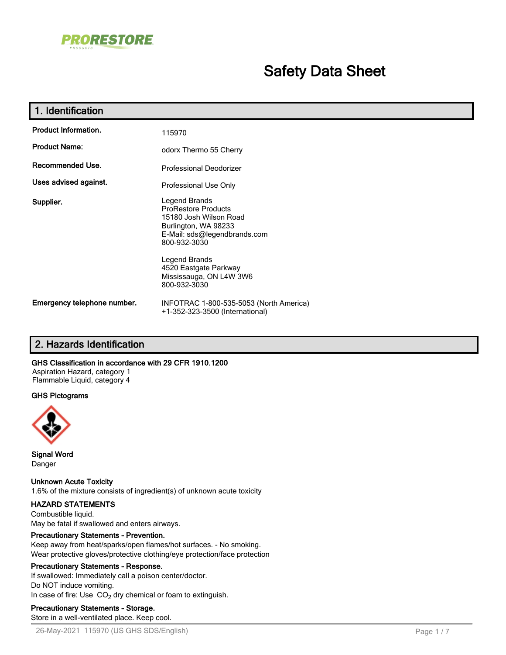

## **Safety Data Sheet**

| 1. Identification           |                                                                                                                                                                |
|-----------------------------|----------------------------------------------------------------------------------------------------------------------------------------------------------------|
| <b>Product Information.</b> | 115970                                                                                                                                                         |
| <b>Product Name:</b>        | odorx Thermo 55 Cherry                                                                                                                                         |
| Recommended Use.            | Professional Deodorizer                                                                                                                                        |
| Uses advised against.       | Professional Use Only                                                                                                                                          |
| Supplier.                   | Legend Brands<br><b>ProRestore Products</b><br>15180 Josh Wilson Road<br>Burlington, WA 98233<br>E-Mail: sds@legendbrands.com<br>800-932-3030<br>Legend Brands |
|                             | 4520 Eastgate Parkway<br>Mississauga, ON L4W 3W6<br>800-932-3030                                                                                               |
| Emergency telephone number. | INFOTRAC 1-800-535-5053 (North America)<br>+1-352-323-3500 (International)                                                                                     |

## **2. Hazards Identification**

#### **GHS Classification in accordance with 29 CFR 1910.1200**

Aspiration Hazard, category 1 Flammable Liquid, category 4

#### **GHS Pictograms**



**Signal Word** Danger

**Unknown Acute Toxicity** 1.6% of the mixture consists of ingredient(s) of unknown acute toxicity

#### **HAZARD STATEMENTS**

Combustible liquid. May be fatal if swallowed and enters airways.

#### **Precautionary Statements - Prevention.**

Keep away from heat/sparks/open flames/hot surfaces. - No smoking. Wear protective gloves/protective clothing/eye protection/face protection

#### **Precautionary Statements - Response.**

If swallowed: Immediately call a poison center/doctor. Do NOT induce vomiting. In case of fire: Use  $CO<sub>2</sub>$  dry chemical or foam to extinguish.

#### **Precautionary Statements - Storage.**

Store in a well-ventilated place. Keep cool.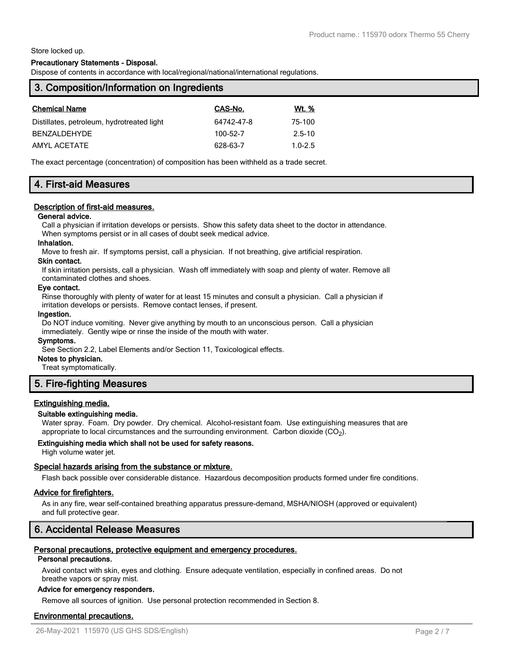Store locked up.

#### **Precautionary Statements - Disposal.**

Dispose of contents in accordance with local/regional/national/international regulations.

| 3. Composition/Information on Ingredients |              |  |  |
|-------------------------------------------|--------------|--|--|
| CAS-No.                                   | <u>Wt. %</u> |  |  |
| 64742-47-8                                | 75-100       |  |  |
| 100-52-7                                  | $2.5 - 10$   |  |  |
| 628-63-7                                  | $1.0 - 2.5$  |  |  |
|                                           |              |  |  |

The exact percentage (concentration) of composition has been withheld as a trade secret.

## **4. First-aid Measures**

#### **Description of first-aid measures.**

#### **General advice.**

Call a physician if irritation develops or persists. Show this safety data sheet to the doctor in attendance. When symptoms persist or in all cases of doubt seek medical advice.

## **Inhalation.**

Move to fresh air. If symptoms persist, call a physician. If not breathing, give artificial respiration.

#### **Skin contact.**

If skin irritation persists, call a physician. Wash off immediately with soap and plenty of water. Remove all contaminated clothes and shoes.

#### **Eye contact.**

Rinse thoroughly with plenty of water for at least 15 minutes and consult a physician. Call a physician if irritation develops or persists. Remove contact lenses, if present.

#### **Ingestion.**

Do NOT induce vomiting. Never give anything by mouth to an unconscious person. Call a physician immediately. Gently wipe or rinse the inside of the mouth with water.

#### **Symptoms.**

See Section 2.2, Label Elements and/or Section 11, Toxicological effects.

#### **Notes to physician.**

Treat symptomatically.

## **5. Fire-fighting Measures**

#### **Extinguishing media.**

#### **Suitable extinguishing media.**

Water spray. Foam. Dry powder. Dry chemical. Alcohol-resistant foam. Use extinguishing measures that are appropriate to local circumstances and the surrounding environment. Carbon dioxide (CO<sub>2</sub>).

#### **Extinguishing media which shall not be used for safety reasons.**

High volume water jet.

#### **Special hazards arising from the substance or mixture.**

Flash back possible over considerable distance. Hazardous decomposition products formed under fire conditions.

#### **Advice for firefighters.**

As in any fire, wear self-contained breathing apparatus pressure-demand, MSHA/NIOSH (approved or equivalent) and full protective gear.

## **6. Accidental Release Measures**

#### **Personal precautions, protective equipment and emergency procedures.**

#### **Personal precautions.**

Avoid contact with skin, eyes and clothing. Ensure adequate ventilation, especially in confined areas. Do not breathe vapors or spray mist.

#### **Advice for emergency responders.**

Remove all sources of ignition. Use personal protection recommended in Section 8.

#### **Environmental precautions.**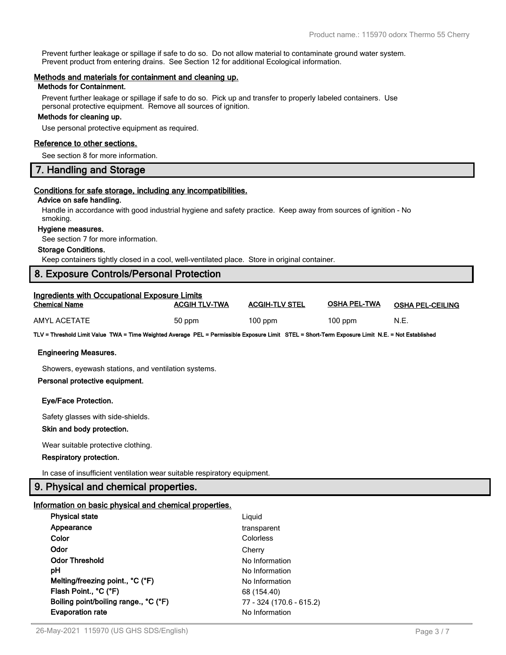Prevent further leakage or spillage if safe to do so. Do not allow material to contaminate ground water system. Prevent product from entering drains. See Section 12 for additional Ecological information.

#### **Methods and materials for containment and cleaning up.**

#### **Methods for Containment.**

Prevent further leakage or spillage if safe to do so. Pick up and transfer to properly labeled containers. Use personal protective equipment. Remove all sources of ignition.

#### **Methods for cleaning up.**

Use personal protective equipment as required.

#### **Reference to other sections.**

See section 8 for more information.

## **7. Handling and Storage**

#### **Conditions for safe storage, including any incompatibilities.**

#### **Advice on safe handling.**

Handle in accordance with good industrial hygiene and safety practice. Keep away from sources of ignition - No smoking.

#### **Hygiene measures.**

See section 7 for more information.

#### **Storage Conditions.**

Keep containers tightly closed in a cool, well-ventilated place. Store in original container.

## **8. Exposure Controls/Personal Protection**

| <b>Ingredients with Occupational Exposure Limits</b> |                      |                       |              |                         |  |
|------------------------------------------------------|----------------------|-----------------------|--------------|-------------------------|--|
| <b>Chemical Name</b>                                 | <b>ACGIH TLV-TWA</b> | <b>ACGIH-TLV STEL</b> | OSHA PEL-TWA | <b>OSHA PEL-CEILING</b> |  |
| AMYL ACETATE                                         | 50 ppm               | $100$ ppm             | $100$ ppm    | N.E.                    |  |

**TLV = Threshold Limit Value TWA = Time Weighted Average PEL = Permissible Exposure Limit STEL = Short-Term Exposure Limit N.E. = Not Established**

#### **Engineering Measures.**

Showers, eyewash stations, and ventilation systems.

#### **Personal protective equipment.**

#### **Eye/Face Protection.**

Safety glasses with side-shields.

#### **Skin and body protection.**

Wear suitable protective clothing.

#### **Respiratory protection.**

In case of insufficient ventilation wear suitable respiratory equipment.

#### **9. Physical and chemical properties.**

#### **Information on basic physical and chemical properties.**

| Liguid                   |
|--------------------------|
| transparent              |
| Colorless                |
| Cherry                   |
| No Information           |
| No Information           |
| No Information           |
| 68 (154.40)              |
| 77 - 324 (170.6 - 615.2) |
| No Information           |
|                          |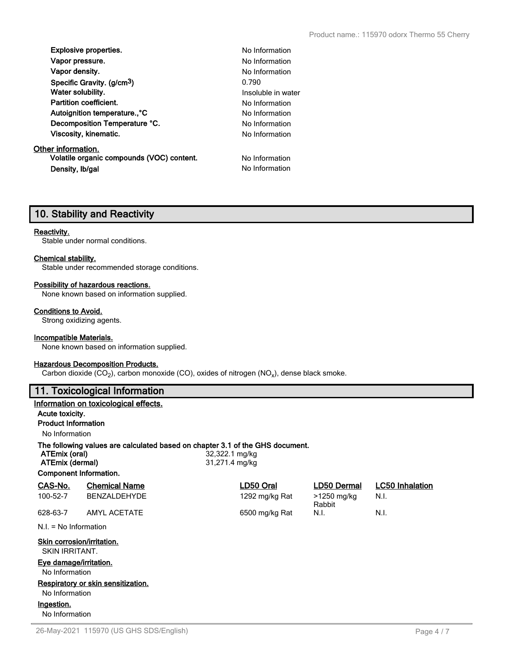| <b>Explosive properties.</b>            | No In  |
|-----------------------------------------|--------|
| Vapor pressure.                         | No In  |
| Vapor density.                          | No In  |
| Specific Gravity. (g/cm <sup>3</sup> )  | 0.790  |
| Water solubility.                       | Insolu |
| <b>Partition coefficient.</b>           | No Int |
| Autoignition temperature <sup>°</sup> C | No In  |
| Decomposition Temperature °C.           | No In  |
| Viscosity, kinematic.                   | No Int |
|                                         |        |

#### **Other information.**

**Volatile organic compounds (VOC) content.** No Information **Density, Ib/gal No Information No Information** 

**Explosive properties.** No Information **No Information No Information Insoluble in water No Information No Information No Information No Information** 

## **10. Stability and Reactivity**

#### **Reactivity.**

Stable under normal conditions.

#### **Chemical stability.**

Stable under recommended storage conditions.

#### **Possibility of hazardous reactions.**

None known based on information supplied.

#### **Conditions to Avoid.**

Strong oxidizing agents.

#### **Incompatible Materials.**

None known based on information supplied.

#### **Hazardous Decomposition Products.**

Carbon dioxide (CO<sub>2</sub>), carbon monoxide (CO), oxides of nitrogen (NO<sub>x</sub>), dense black smoke.

## **11. Toxicological Information**

#### **Information on toxicological effects.**

#### **Acute toxicity.**

**Product Information**

No Information

#### **The following values are calculated based on chapter 3.1 of the GHS document.**

**ATEmix (oral)** 32,322.1 mg/kg **ATEmix (dermal)** 31,271.4 mg/kg

**Component Information.**

| CAS-No.                                      | <b>Chemical Name</b>    | LD50 Oral      | LD50 Dermal           | <b>LC50</b> Inhalation |  |  |  |
|----------------------------------------------|-------------------------|----------------|-----------------------|------------------------|--|--|--|
| 100-52-7                                     | <b>BENZALDEHYDE</b>     | 1292 mg/kg Rat | >1250 mg/kg<br>Rabbit | N.I.                   |  |  |  |
| 628-63-7                                     | <b>AMYL ACETATE</b>     | 6500 mg/kg Rat | N.I.                  | N.I.                   |  |  |  |
|                                              | $N.I. = No Information$ |                |                       |                        |  |  |  |
| Skin corrosion/irritation.<br>SKIN IRRITANT. |                         |                |                       |                        |  |  |  |
| Eye damage/irritation.                       |                         |                |                       |                        |  |  |  |
| No Information                               |                         |                |                       |                        |  |  |  |
| Respiratory or skin sensitization.           |                         |                |                       |                        |  |  |  |
| No Information                               |                         |                |                       |                        |  |  |  |

**Ingestion.**

No Information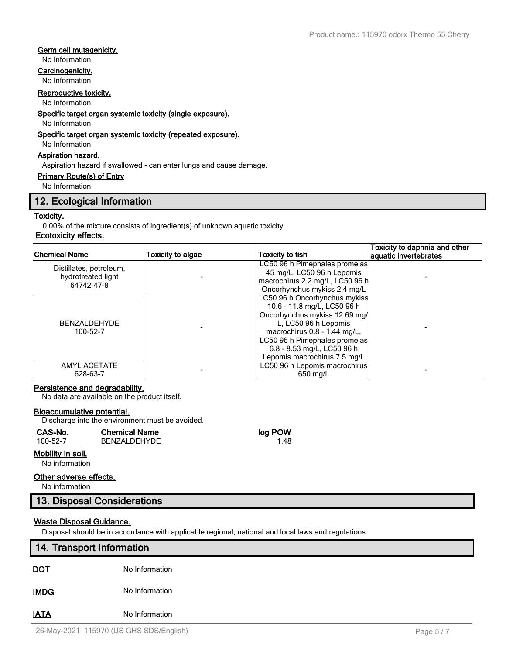#### **Germ cell mutagenicity.**

No Information

#### **Carcinogenicity.**

No Information

#### **Reproductive toxicity.**

No Information

**Specific target organ systemic toxicity (single exposure).**

No Information

#### **Specific target organ systemic toxicity (repeated exposure).**

No Information

## **Aspiration hazard.**

Aspiration hazard if swallowed - can enter lungs and cause damage.

#### **Primary Route(s) of Entry**

No Information

## **12. Ecological Information**

#### **Toxicity.**

0.00% of the mixture consists of ingredient(s) of unknown aquatic toxicity

## **Ecotoxicity effects.**

| Chemical Name                                               | <b>Toxicity to algae</b> | Toxicity to fish                                                                                                                                                                                                                                     | Toxicity to daphnia and other<br>aquatic invertebrates |
|-------------------------------------------------------------|--------------------------|------------------------------------------------------------------------------------------------------------------------------------------------------------------------------------------------------------------------------------------------------|--------------------------------------------------------|
| Distillates, petroleum,<br>hydrotreated light<br>64742-47-8 |                          | LC50 96 h Pimephales promelas<br>45 mg/L, LC50 96 h Lepomis<br>macrochirus 2.2 mg/L, LC50 96 h<br>Oncorhynchus mykiss 2.4 mg/L                                                                                                                       |                                                        |
| <b>BENZALDEHYDE</b><br>100-52-7                             |                          | LC50 96 h Oncorhynchus mykiss<br>10.6 - 11.8 mg/L, LC50 96 h<br>Oncorhynchus mykiss 12.69 mg/<br>L, LC50 96 h Lepomis<br>macrochirus 0.8 - 1.44 mg/L,<br>LC50 96 h Pimephales promelas<br>6.8 - 8.53 mg/L, LC50 96 h<br>Lepomis macrochirus 7.5 mg/L |                                                        |
| <b>AMYL ACETATE</b><br>628-63-7                             |                          | LC50 96 h Lepomis macrochirus<br>650 mg/L                                                                                                                                                                                                            |                                                        |

#### **Persistence and degradability.**

No data are available on the product itself.

#### **Bioaccumulative potential.**

Discharge into the environment must be avoided.

| CAS-No.  | <b>Chemical Name</b> | log POW |
|----------|----------------------|---------|
| 100-52-7 | BENZALDEHYDE         | 1.48    |
|          |                      |         |

#### **Mobility in soil.**

No information

#### **Other adverse effects.**

No information

## **13. Disposal Considerations**

### **Waste Disposal Guidance.**

Disposal should be in accordance with applicable regional, national and local laws and regulations.

# **14. Transport Information DOT** No Information **IMDG** No Information

**IATA** No Information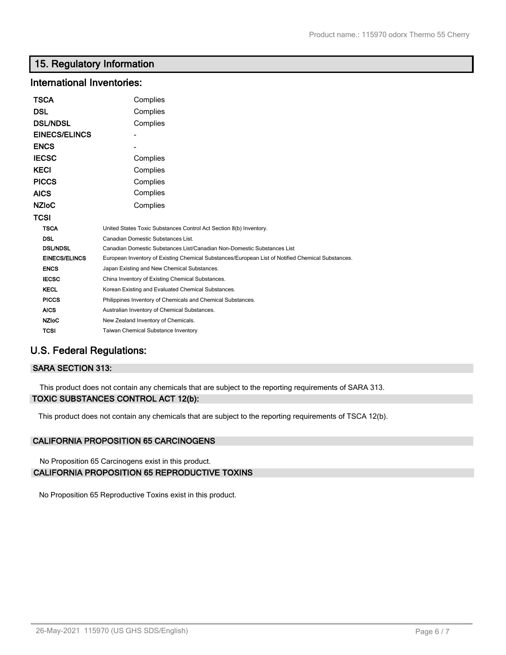## **15. Regulatory Information**

## **International Inventories:**

| <b>TSCA</b>          | Complies                                                                                          |  |  |
|----------------------|---------------------------------------------------------------------------------------------------|--|--|
| DSL                  | Complies                                                                                          |  |  |
| <b>DSL/NDSL</b>      | Complies                                                                                          |  |  |
| <b>EINECS/ELINCS</b> |                                                                                                   |  |  |
| <b>ENCS</b>          |                                                                                                   |  |  |
| <b>IECSC</b>         | Complies                                                                                          |  |  |
| <b>KECI</b>          | Complies                                                                                          |  |  |
| <b>PICCS</b>         | Complies                                                                                          |  |  |
| <b>AICS</b>          | Complies                                                                                          |  |  |
| <b>NZIoC</b>         | Complies                                                                                          |  |  |
| TCSI                 |                                                                                                   |  |  |
| <b>TSCA</b>          | United States Toxic Substances Control Act Section 8(b) Inventory.                                |  |  |
| <b>DSL</b>           | Canadian Domestic Substances List.                                                                |  |  |
| <b>DSL/NDSL</b>      | Canadian Domestic Substances List/Canadian Non-Domestic Substances List                           |  |  |
| <b>EINECS/ELINCS</b> | European Inventory of Existing Chemical Substances/European List of Notified Chemical Substances. |  |  |
| <b>ENCS</b>          | Japan Existing and New Chemical Substances.                                                       |  |  |
| <b>IECSC</b>         | China Inventory of Existing Chemical Substances.                                                  |  |  |
| <b>KECL</b>          | Korean Existing and Evaluated Chemical Substances.                                                |  |  |
| <b>PICCS</b>         | Philippines Inventory of Chemicals and Chemical Substances.                                       |  |  |
| <b>AICS</b>          | Australian Inventory of Chemical Substances.                                                      |  |  |
| <b>NZIOC</b>         | New Zealand Inventory of Chemicals.                                                               |  |  |
| <b>TCSI</b>          | Taiwan Chemical Substance Inventory                                                               |  |  |

## **U.S. Federal Regulations:**

## **SARA SECTION 313:**

This product does not contain any chemicals that are subject to the reporting requirements of SARA 313. **TOXIC SUBSTANCES CONTROL ACT 12(b):**

This product does not contain any chemicals that are subject to the reporting requirements of TSCA 12(b).

## **CALIFORNIA PROPOSITION 65 CARCINOGENS**

No Proposition 65 Carcinogens exist in this product. **CALIFORNIA PROPOSITION 65 REPRODUCTIVE TOXINS**

No Proposition 65 Reproductive Toxins exist in this product.